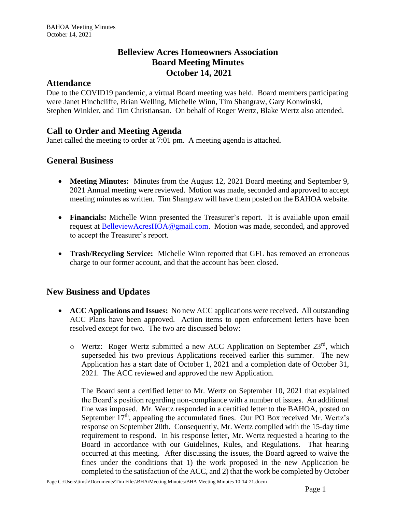# **Belleview Acres Homeowners Association Board Meeting Minutes October 14, 2021**

#### **Attendance**

Due to the COVID19 pandemic, a virtual Board meeting was held. Board members participating were Janet Hinchcliffe, Brian Welling, Michelle Winn, Tim Shangraw, Gary Konwinski, Stephen Winkler, and Tim Christiansan. On behalf of Roger Wertz, Blake Wertz also attended.

# **Call to Order and Meeting Agenda**

Janet called the meeting to order at 7:01 pm. A meeting agenda is attached.

## **General Business**

- **Meeting Minutes:** Minutes from the August 12, 2021 Board meeting and September 9, 2021 Annual meeting were reviewed. Motion was made, seconded and approved to accept meeting minutes as written. Tim Shangraw will have them posted on the BAHOA website.
- **Financials:** Michelle Winn presented the Treasurer's report. It is available upon email request at **BelleviewAcresHOA@gmail.com.** Motion was made, seconded, and approved to accept the Treasurer's report.
- **Trash/Recycling Service:** Michelle Winn reported that GFL has removed an erroneous charge to our former account, and that the account has been closed.

## **New Business and Updates**

- **ACC Applications and Issues:** No new ACC applications were received. All outstanding ACC Plans have been approved. Action items to open enforcement letters have been resolved except for two. The two are discussed below:
	- $\circ$  Wertz: Roger Wertz submitted a new ACC Application on September 23<sup>rd</sup>, which superseded his two previous Applications received earlier this summer. The new Application has a start date of October 1, 2021 and a completion date of October 31, 2021. The ACC reviewed and approved the new Application.

The Board sent a certified letter to Mr. Wertz on September 10, 2021 that explained the Board's position regarding non-compliance with a number of issues. An additional fine was imposed. Mr. Wertz responded in a certified letter to the BAHOA, posted on September  $17<sup>th</sup>$ , appealing the accumulated fines. Our PO Box received Mr. Wertz's response on September 20th. Consequently, Mr. Wertz complied with the 15-day time requirement to respond. In his response letter, Mr. Wertz requested a hearing to the Board in accordance with our Guidelines, Rules, and Regulations. That hearing occurred at this meeting. After discussing the issues, the Board agreed to waive the fines under the conditions that 1) the work proposed in the new Application be completed to the satisfaction of the ACC, and 2) that the work be completed by October